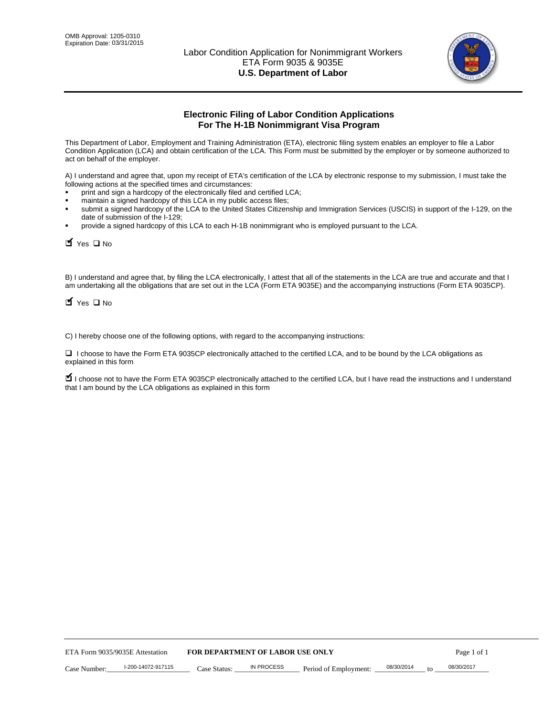

# **Electronic Filing of Labor Condition Applications For The H-1B Nonimmigrant Visa Program**

This Department of Labor, Employment and Training Administration (ETA), electronic filing system enables an employer to file a Labor Condition Application (LCA) and obtain certification of the LCA. This Form must be submitted by the employer or by someone authorized to act on behalf of the employer.

A) I understand and agree that, upon my receipt of ETA's certification of the LCA by electronic response to my submission, I must take the following actions at the specified times and circumstances:

- print and sign a hardcopy of the electronically filed and certified LCA;
- maintain a signed hardcopy of this LCA in my public access files;
- submit a signed hardcopy of the LCA to the United States Citizenship and Immigration Services (USCIS) in support of the I-129, on the date of submission of the I-129;
- provide a signed hardcopy of this LCA to each H-1B nonimmigrant who is employed pursuant to the LCA.

| Yes O No                                                                                       |                    |                                  |                   |                                                                                                                                                                                                                                                                                    |            |    |             |
|------------------------------------------------------------------------------------------------|--------------------|----------------------------------|-------------------|------------------------------------------------------------------------------------------------------------------------------------------------------------------------------------------------------------------------------------------------------------------------------------|------------|----|-------------|
| $\blacksquare$ Yes $\square$ No                                                                |                    |                                  |                   | B) I understand and agree that, by filing the LCA electronically, I attest that all of the statements in the LCA are true and accurate and th<br>am undertaking all the obligations that are set out in the LCA (Form ETA 9035E) and the accompanying instructions (Form ETA 9035C |            |    |             |
| C) I hereby choose one of the following options, with regard to the accompanying instructions: |                    |                                  |                   |                                                                                                                                                                                                                                                                                    |            |    |             |
| explained in this form                                                                         |                    |                                  |                   | □ I choose to have the Form ETA 9035CP electronically attached to the certified LCA, and to be bound by the LCA obligations as                                                                                                                                                     |            |    |             |
| that I am bound by the LCA obligations as explained in this form                               |                    |                                  |                   | I choose not to have the Form ETA 9035CP electronically attached to the certified LCA, but I have read the instructions and I unders                                                                                                                                               |            |    |             |
|                                                                                                |                    |                                  |                   |                                                                                                                                                                                                                                                                                    |            |    |             |
|                                                                                                |                    |                                  |                   |                                                                                                                                                                                                                                                                                    |            |    |             |
|                                                                                                |                    |                                  |                   |                                                                                                                                                                                                                                                                                    |            |    |             |
|                                                                                                |                    |                                  |                   |                                                                                                                                                                                                                                                                                    |            |    |             |
|                                                                                                |                    |                                  |                   |                                                                                                                                                                                                                                                                                    |            |    |             |
|                                                                                                |                    |                                  |                   |                                                                                                                                                                                                                                                                                    |            |    |             |
|                                                                                                |                    |                                  |                   |                                                                                                                                                                                                                                                                                    |            |    |             |
|                                                                                                |                    |                                  |                   |                                                                                                                                                                                                                                                                                    |            |    |             |
|                                                                                                |                    |                                  |                   |                                                                                                                                                                                                                                                                                    |            |    |             |
|                                                                                                |                    |                                  |                   |                                                                                                                                                                                                                                                                                    |            |    |             |
| ETA Form 9035/9035E Attestation                                                                |                    | FOR DEPARTMENT OF LABOR USE ONLY |                   |                                                                                                                                                                                                                                                                                    |            |    | Page 1 of 1 |
| Case Number:                                                                                   | I-200-14072-917115 | Case Status:                     | <b>IN PROCESS</b> | Period of Employment:                                                                                                                                                                                                                                                              | 08/30/2014 | to | 08/30/2017  |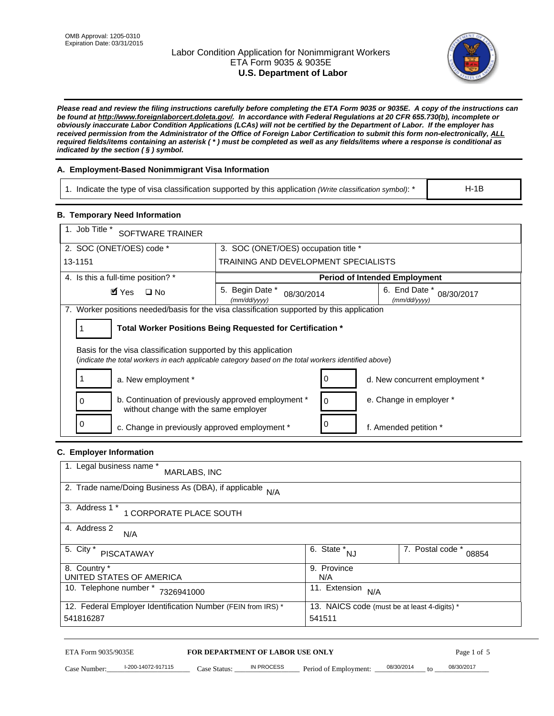# Labor Condition Application for Nonimmigrant Workers ETA Form 9035 & 9035E **U.S. Department of Labor**



*Please read and review the filing instructions carefully before completing the ETA Form 9035 or 9035E. A copy of the instructions can be found at http://www.foreignlaborcert.doleta.gov/. In accordance with Federal Regulations at 20 CFR 655.730(b), incomplete or obviously inaccurate Labor Condition Applications (LCAs) will not be certified by the Department of Labor. If the employer has received permission from the Administrator of the Office of Foreign Labor Certification to submit this form non-electronically, ALL required fields/items containing an asterisk ( \* ) must be completed as well as any fields/items where a response is conditional as indicated by the section ( § ) symbol.* 

# **A. Employment-Based Nonimmigrant Visa Information**

| i. Indicate the type of visa classification supported by this application (Write classification symbol): * | $H-1E$ |
|------------------------------------------------------------------------------------------------------------|--------|
|                                                                                                            |        |

## **B. Temporary Need Information**

| 1. Job Title *<br>SOFTWARE TRAINER                                                                                                                                      |                                               |                                      |                                              |                           |
|-------------------------------------------------------------------------------------------------------------------------------------------------------------------------|-----------------------------------------------|--------------------------------------|----------------------------------------------|---------------------------|
| 2. SOC (ONET/OES) code *                                                                                                                                                | 3. SOC (ONET/OES) occupation title *          |                                      |                                              |                           |
| 13-1151                                                                                                                                                                 | TRAINING AND DEVELOPMENT SPECIALISTS          |                                      |                                              |                           |
|                                                                                                                                                                         |                                               |                                      |                                              |                           |
| 4. Is this a full-time position? *                                                                                                                                      |                                               |                                      | <b>Period of Intended Employment</b>         |                           |
| $\blacksquare$ Yes<br>$\square$ No                                                                                                                                      | 5. Begin Date *<br>08/30/2014<br>(mm/dd/yyyy) |                                      | 6. End Date *<br>(mm/dd/yyyy)                | 08/30/2017                |
| 7. Worker positions needed/basis for the visa classification supported by this application                                                                              |                                               |                                      |                                              |                           |
| Total Worker Positions Being Requested for Certification *<br>1                                                                                                         |                                               |                                      |                                              |                           |
|                                                                                                                                                                         |                                               |                                      |                                              |                           |
| Basis for the visa classification supported by this application<br>(indicate the total workers in each applicable category based on the total workers identified above) |                                               |                                      |                                              |                           |
|                                                                                                                                                                         |                                               |                                      |                                              |                           |
| 1<br>a. New employment *                                                                                                                                                |                                               | 0                                    | d. New concurrent employment *               |                           |
| b. Continuation of previously approved employment *<br>0<br>without change with the same employer                                                                       |                                               | 0                                    | e. Change in employer *                      |                           |
| 0<br>c. Change in previously approved employment *                                                                                                                      |                                               | 0                                    | f. Amended petition *                        |                           |
| C. Employer Information                                                                                                                                                 |                                               |                                      |                                              |                           |
| 1. Legal business name *                                                                                                                                                |                                               |                                      |                                              |                           |
| MARLABS, INC                                                                                                                                                            |                                               |                                      |                                              |                           |
| 2. Trade name/Doing Business As (DBA), if applicable                                                                                                                    | N/A                                           |                                      |                                              |                           |
| 3. Address 1 *                                                                                                                                                          |                                               |                                      |                                              |                           |
| 1 CORPORATE PLACE SOUTH                                                                                                                                                 |                                               |                                      |                                              |                           |
| 4. Address 2<br>N/A                                                                                                                                                     |                                               |                                      |                                              |                           |
| 5. City *<br><b>PISCATAWAY</b>                                                                                                                                          |                                               | $\overline{6. \text{ State}}^*_{NJ}$ |                                              | 7. Postal code *<br>08854 |
| 8. Country *<br>UNITED STATES OF AMERICA                                                                                                                                |                                               | 9. Province<br>N/A                   |                                              |                           |
| 10. Telephone number * 7326941000                                                                                                                                       |                                               | 11. Extension $N/A$                  |                                              |                           |
|                                                                                                                                                                         |                                               |                                      | 13. NAICS code (must be at least 4-digits) * |                           |
| 12. Federal Employer Identification Number (FEIN from IRS) *<br>541816287                                                                                               |                                               | 541511                               |                                              |                           |
|                                                                                                                                                                         |                                               |                                      |                                              |                           |

# **C. Employer Information**

| 1. Legal business name *<br>MARLABS, INC                     |                                              |                           |
|--------------------------------------------------------------|----------------------------------------------|---------------------------|
| 2. Trade name/Doing Business As (DBA), if applicable<br>N/A  |                                              |                           |
| 3. Address 1 *<br>1 CORPORATE PLACE SOUTH                    |                                              |                           |
| 4. Address 2<br>N/A                                          |                                              |                           |
| 5. City *<br><b>PISCATAWAY</b>                               | 6. State *<br><b>NJ</b>                      | 7. Postal code *<br>08854 |
| 8. Country *                                                 | 9. Province                                  |                           |
| UNITED STATES OF AMERICA                                     | N/A                                          |                           |
| 10. Telephone number *<br>7326941000                         | 11. Extension<br>N/A                         |                           |
| 12. Federal Employer Identification Number (FEIN from IRS) * | 13. NAICS code (must be at least 4-digits) * |                           |
| 541816287                                                    | 541511                                       |                           |

# ETA Form 9035/9035E **FOR DEPARTMENT OF LABOR USE ONLY** Page 1 of 5<br>Case Number: 1-200-14072-917115 Case Status: IN PROCESS Period of Employment: 08/30/2014 to 08/30/2017

Case Number: 1-200-14072-917115 Case Status: IN PROCESS Period of Employment: 08/30/2014 to 08/30/2017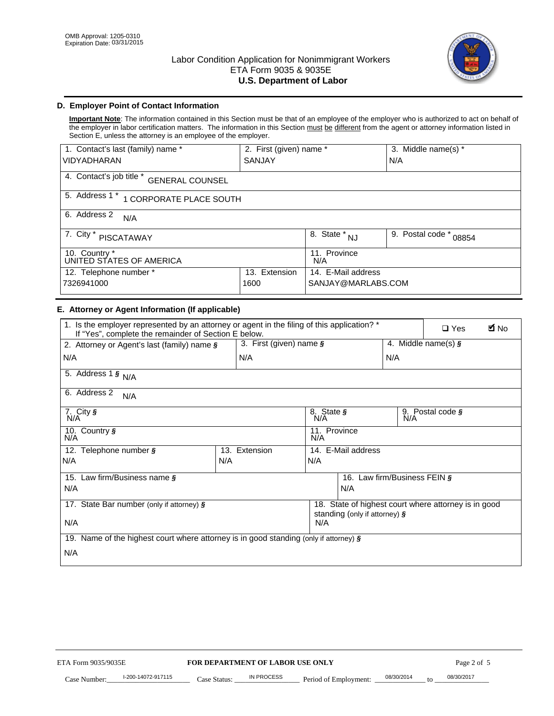

# **D. Employer Point of Contact Information**

**Important Note**: The information contained in this Section must be that of an employee of the employer who is authorized to act on behalf of the employer in labor certification matters. The information in this Section must be different from the agent or attorney information listed in Section E, unless the attorney is an employee of the employer.

| 1. Contact's last (family) name *                  | 2. First (given) name * |                     | 3. Middle name(s) *       |  |
|----------------------------------------------------|-------------------------|---------------------|---------------------------|--|
| <b>VIDYADHARAN</b>                                 | <b>SANJAY</b>           |                     | N/A                       |  |
| 4. Contact's job title *<br><b>GENERAL COUNSEL</b> |                         |                     |                           |  |
| 5. Address 1 *<br>1 CORPORATE PLACE SOUTH          |                         |                     |                           |  |
| 6. Address 2<br>N/A                                |                         |                     |                           |  |
| 7. City $*$<br>PISCATAWAY                          |                         | $8.$ State $*$ NJ   | 9. Postal code *<br>08854 |  |
| 10. Country *<br>UNITED STATES OF AMERICA          |                         | 11. Province<br>N/A |                           |  |
| 12. Telephone number *                             | Extension<br>13.        | 14. E-Mail address  |                           |  |
| 7326941000                                         | 1600                    | SANJAY@MARLABS.COM  |                           |  |

## **E. Attorney or Agent Information (If applicable)**

| VIDYADHARAN                                                                                                                                         | SANJAY                           |                                           |                                          | N/A                          |                                                      |             |
|-----------------------------------------------------------------------------------------------------------------------------------------------------|----------------------------------|-------------------------------------------|------------------------------------------|------------------------------|------------------------------------------------------|-------------|
| 4. Contact's job title * GENERAL COUNSEL                                                                                                            |                                  |                                           |                                          |                              |                                                      |             |
| 5. Address 1 * 1 CORPORATE PLACE SOUTH                                                                                                              |                                  |                                           |                                          |                              |                                                      |             |
| 6. Address 2<br>N/A                                                                                                                                 |                                  |                                           |                                          |                              |                                                      |             |
| 7. City * PISCATAWAY                                                                                                                                |                                  | $\overline{\phantom{a}}$ 8. State $^*$ NJ |                                          | 9. Postal code *             | 08854                                                |             |
| 10. Country *<br>UNITED STATES OF AMERICA                                                                                                           |                                  | 11. Province<br>N/A                       |                                          |                              |                                                      |             |
| 12. Telephone number *<br>7326941000                                                                                                                | 13. Extension<br>1600            |                                           | 14. E-Mail address<br>SANJAY@MARLABS.COM |                              |                                                      |             |
| E. Attorney or Agent Information (If applicable)                                                                                                    |                                  |                                           |                                          |                              |                                                      |             |
| 1. Is the employer represented by an attorney or agent in the filing of this application? *<br>If "Yes", complete the remainder of Section E below. |                                  |                                           |                                          |                              | $\Box$ Yes                                           | <b>A</b> No |
| 2. Attorney or Agent's last (family) name §                                                                                                         | 3. First (given) name §          |                                           |                                          |                              | 4. Middle name(s) $\sqrt{s}$                         |             |
| N/A                                                                                                                                                 | N/A                              |                                           |                                          | N/A                          |                                                      |             |
| 5. Address 1 $\frac{1}{9}$ N/A                                                                                                                      |                                  |                                           |                                          |                              |                                                      |             |
| 6. Address 2<br>N/A                                                                                                                                 |                                  |                                           |                                          |                              |                                                      |             |
| 7. City §<br>N/A                                                                                                                                    |                                  | 8. State §<br>N/A                         |                                          |                              | 9. Postal code §                                     |             |
| 10. Country §<br>N/A                                                                                                                                |                                  | 11. Province<br>N/A                       |                                          |                              |                                                      |             |
| 12. Telephone number §                                                                                                                              | 13. Extension                    |                                           | 14. E-Mail address                       |                              |                                                      |             |
| N/A                                                                                                                                                 | N/A                              | N/A                                       |                                          |                              |                                                      |             |
| 15. Law firm/Business name §                                                                                                                        |                                  |                                           |                                          | 16. Law firm/Business FEIN § |                                                      |             |
| N/A                                                                                                                                                 |                                  |                                           | N/A                                      |                              |                                                      |             |
| 17. State Bar number (only if attorney) §                                                                                                           |                                  |                                           | standing (only if attorney) §            |                              | 18. State of highest court where attorney is in good |             |
| N/A                                                                                                                                                 |                                  | N/A                                       |                                          |                              |                                                      |             |
| 19. Name of the highest court where attorney is in good standing (only if attorney) §                                                               |                                  |                                           |                                          |                              |                                                      |             |
| N/A                                                                                                                                                 |                                  |                                           |                                          |                              |                                                      |             |
|                                                                                                                                                     |                                  |                                           |                                          |                              |                                                      |             |
|                                                                                                                                                     |                                  |                                           |                                          |                              |                                                      |             |
|                                                                                                                                                     |                                  |                                           |                                          |                              |                                                      |             |
|                                                                                                                                                     |                                  |                                           |                                          |                              |                                                      |             |
|                                                                                                                                                     |                                  |                                           |                                          |                              |                                                      |             |
|                                                                                                                                                     |                                  |                                           |                                          |                              |                                                      |             |
|                                                                                                                                                     |                                  |                                           |                                          |                              |                                                      |             |
| ETA Form 9035/9035E                                                                                                                                 | FOR DEPARTMENT OF LABOR USE ONLY |                                           |                                          |                              | Page 2 of 5                                          |             |
| I-200-14072-917115                                                                                                                                  | <b>IN PROCESS</b>                |                                           |                                          | 08/30/2014                   | 08/30/2017                                           |             |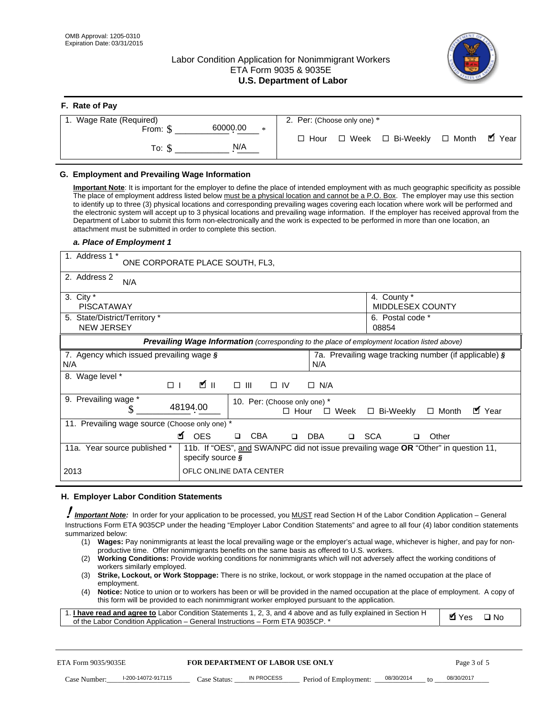# Labor Condition Application for Nonimmigrant Workers ETA Form 9035 & 9035E **U.S. Department of Labor**



| F. Rate of Pay                 |                                                     |
|--------------------------------|-----------------------------------------------------|
| 1. Wage Rate (Required)        | 2. Per: (Choose only one) *                         |
| 60000.00<br>From: \$<br>$\ast$ |                                                     |
| N/A<br>To: \$                  | ■ Year<br>□ Week □ Bi-Weekly □ Month<br>$\Box$ Hour |

## **G. Employment and Prevailing Wage Information**

#### *a. Place of Employment 1*

| From: \$                                                                                                                                                                                                                                                                                                                                                                                                                                                                                                                                                                                                                                                                                                                                                                                                                                                              | 60000.00<br>$\ast$                                                                                                                                                                                                                                                                                                                                                                                                                                                                                                                                                                                                                                                                                                                | $\Box$ Hour<br>$\Box$ Week                                 | $\Box$ Bi-Weekly                                             | $\blacksquare$ Year<br>$\Box$ Month |
|-----------------------------------------------------------------------------------------------------------------------------------------------------------------------------------------------------------------------------------------------------------------------------------------------------------------------------------------------------------------------------------------------------------------------------------------------------------------------------------------------------------------------------------------------------------------------------------------------------------------------------------------------------------------------------------------------------------------------------------------------------------------------------------------------------------------------------------------------------------------------|-----------------------------------------------------------------------------------------------------------------------------------------------------------------------------------------------------------------------------------------------------------------------------------------------------------------------------------------------------------------------------------------------------------------------------------------------------------------------------------------------------------------------------------------------------------------------------------------------------------------------------------------------------------------------------------------------------------------------------------|------------------------------------------------------------|--------------------------------------------------------------|-------------------------------------|
| To: $$$                                                                                                                                                                                                                                                                                                                                                                                                                                                                                                                                                                                                                                                                                                                                                                                                                                                               | N/A                                                                                                                                                                                                                                                                                                                                                                                                                                                                                                                                                                                                                                                                                                                               |                                                            |                                                              |                                     |
| G. Employment and Prevailing Wage Information<br>Important Note: It is important for the employer to define the place of intended employment with as much geographic specificity as possible<br>The place of employment address listed below must be a physical location and cannot be a P.O. Box. The employer may use this section<br>to identify up to three (3) physical locations and corresponding prevailing wages covering each location where work will be performed and<br>the electronic system will accept up to 3 physical locations and prevailing wage information. If the employer has received approval from the<br>Department of Labor to submit this form non-electronically and the work is expected to be performed in more than one location, an<br>attachment must be submitted in order to complete this section.<br>a. Place of Employment 1 |                                                                                                                                                                                                                                                                                                                                                                                                                                                                                                                                                                                                                                                                                                                                   |                                                            |                                                              |                                     |
| 1. Address 1 *                                                                                                                                                                                                                                                                                                                                                                                                                                                                                                                                                                                                                                                                                                                                                                                                                                                        | ONE CORPORATE PLACE SOUTH, FL3,                                                                                                                                                                                                                                                                                                                                                                                                                                                                                                                                                                                                                                                                                                   |                                                            |                                                              |                                     |
| 2. Address 2                                                                                                                                                                                                                                                                                                                                                                                                                                                                                                                                                                                                                                                                                                                                                                                                                                                          |                                                                                                                                                                                                                                                                                                                                                                                                                                                                                                                                                                                                                                                                                                                                   |                                                            |                                                              |                                     |
| N/A<br>3. City $*$<br><b>PISCATAWAY</b><br>5. State/District/Territory *<br><b>NEW JERSEY</b>                                                                                                                                                                                                                                                                                                                                                                                                                                                                                                                                                                                                                                                                                                                                                                         |                                                                                                                                                                                                                                                                                                                                                                                                                                                                                                                                                                                                                                                                                                                                   |                                                            | 4. County *<br>MIDDLESEX COUNTY<br>6. Postal code *<br>08854 |                                     |
|                                                                                                                                                                                                                                                                                                                                                                                                                                                                                                                                                                                                                                                                                                                                                                                                                                                                       | Prevailing Wage Information (corresponding to the place of employment location listed above)                                                                                                                                                                                                                                                                                                                                                                                                                                                                                                                                                                                                                                      |                                                            |                                                              |                                     |
| 7. Agency which issued prevailing wage §<br>N/A                                                                                                                                                                                                                                                                                                                                                                                                                                                                                                                                                                                                                                                                                                                                                                                                                       |                                                                                                                                                                                                                                                                                                                                                                                                                                                                                                                                                                                                                                                                                                                                   | N/A                                                        | 7a. Prevailing wage tracking number (if applicable) §        |                                     |
| 8. Wage level *<br>$\Box$                                                                                                                                                                                                                                                                                                                                                                                                                                                                                                                                                                                                                                                                                                                                                                                                                                             | <b>M</b><br>$\Box$<br>III                                                                                                                                                                                                                                                                                                                                                                                                                                                                                                                                                                                                                                                                                                         | $\Box$ IV<br>$\Box$ N/A                                    |                                                              |                                     |
| 9. Prevailing wage *<br>\$                                                                                                                                                                                                                                                                                                                                                                                                                                                                                                                                                                                                                                                                                                                                                                                                                                            | 48194.00                                                                                                                                                                                                                                                                                                                                                                                                                                                                                                                                                                                                                                                                                                                          | 10. Per: (Choose only one) *<br>$\Box$ Hour<br>$\Box$ Week | □ Bi-Weekly                                                  | ■ Year<br>$\Box$ Month              |
| 11. Prevailing wage source (Choose only one) *                                                                                                                                                                                                                                                                                                                                                                                                                                                                                                                                                                                                                                                                                                                                                                                                                        | <b>¤</b> OES<br><b>CBA</b>                                                                                                                                                                                                                                                                                                                                                                                                                                                                                                                                                                                                                                                                                                        | <b>DBA</b><br>$\Box$                                       | □ SCA                                                        | Other                               |
| 11a. Year source published *                                                                                                                                                                                                                                                                                                                                                                                                                                                                                                                                                                                                                                                                                                                                                                                                                                          | 11b. If "OES", and SWA/NPC did not issue prevailing wage OR "Other" in question 11,<br>specify source $\boldsymbol{\S}$                                                                                                                                                                                                                                                                                                                                                                                                                                                                                                                                                                                                           |                                                            |                                                              |                                     |
| 2013                                                                                                                                                                                                                                                                                                                                                                                                                                                                                                                                                                                                                                                                                                                                                                                                                                                                  | OFLC ONLINE DATA CENTER                                                                                                                                                                                                                                                                                                                                                                                                                                                                                                                                                                                                                                                                                                           |                                                            |                                                              |                                     |
| H. Employer Labor Condition Statements                                                                                                                                                                                                                                                                                                                                                                                                                                                                                                                                                                                                                                                                                                                                                                                                                                |                                                                                                                                                                                                                                                                                                                                                                                                                                                                                                                                                                                                                                                                                                                                   |                                                            |                                                              |                                     |
| I Important Note: In order for your application to be processed, you MUST read Section H of the Labor Condition Application – General<br>Instructions Form ETA 9035CP under the heading "Employer Labor Condition Statements" and agree to all four (4) labor condition statements<br>summarized below:<br>(2)<br>workers similarly employed.<br>(3)<br>employment.<br>(4)<br>1. I have read and agree to Labor Condition Statements 1, 2, 3, and 4 above and as fully explained in Section H<br>of the Labor Condition Application - General Instructions - Form ETA 9035CP. *                                                                                                                                                                                                                                                                                       | (1) Wages: Pay nonimmigrants at least the local prevailing wage or the employer's actual wage, whichever is higher, and pay for non-<br>productive time. Offer nonimmigrants benefits on the same basis as offered to U.S. workers.<br>Working Conditions: Provide working conditions for nonimmigrants which will not adversely affect the working conditions of<br>Strike, Lockout, or Work Stoppage: There is no strike, lockout, or work stoppage in the named occupation at the place of<br>Notice: Notice to union or to workers has been or will be provided in the named occupation at the place of employment. A copy of<br>this form will be provided to each nonimmigrant worker employed pursuant to the application. |                                                            |                                                              | <b>Ø</b> Yes<br>$\square$ No        |
| ETA Form 9035/9035E                                                                                                                                                                                                                                                                                                                                                                                                                                                                                                                                                                                                                                                                                                                                                                                                                                                   | <b>FOR DEPARTMENT OF LABOR USE ONLY</b>                                                                                                                                                                                                                                                                                                                                                                                                                                                                                                                                                                                                                                                                                           |                                                            |                                                              | Page 3 of 5                         |
| I-200-14072-917115<br>Case Number:                                                                                                                                                                                                                                                                                                                                                                                                                                                                                                                                                                                                                                                                                                                                                                                                                                    | <b>IN PROCESS</b><br>Case Status:                                                                                                                                                                                                                                                                                                                                                                                                                                                                                                                                                                                                                                                                                                 | Period of Employment:                                      | 08/30/2014                                                   | 08/30/2017                          |

#### **H. Employer Labor Condition Statements**

- (1) **Wages:** Pay nonimmigrants at least the local prevailing wage or the employer's actual wage, whichever is higher, and pay for nonproductive time. Offer nonimmigrants benefits on the same basis as offered to U.S. workers.
- (2) **Working Conditions:** Provide working conditions for nonimmigrants which will not adversely affect the working conditions of workers similarly employed.
- (3) **Strike, Lockout, or Work Stoppage:** There is no strike, lockout, or work stoppage in the named occupation at the place of employment.
- (4) **Notice:** Notice to union or to workers has been or will be provided in the named occupation at the place of employment. A copy of this form will be provided to each nonimmigrant worker employed pursuant to the application.

| 1. I have read and agree to Labor Condition Statements 1, 2, 3, and 4 above and as fully explained in Section H | $\blacksquare$ Yes $\square$ No |  |
|-----------------------------------------------------------------------------------------------------------------|---------------------------------|--|
| of the Labor Condition Application – General Instructions – Form ETA 9035CP. *                                  |                                 |  |

| ETA Form 9035/9035E |                    | <b>FOR DEPARTMENT OF LABOR USE ONLY</b> |            |                                    | Page 3 of 5  |            |  |
|---------------------|--------------------|-----------------------------------------|------------|------------------------------------|--------------|------------|--|
| Case Number:        | l-200-14072-917115 | Case Status:                            | IN PROCESS | Period of Employment: __08/30/2014 | $t^{\Omega}$ | 08/30/2017 |  |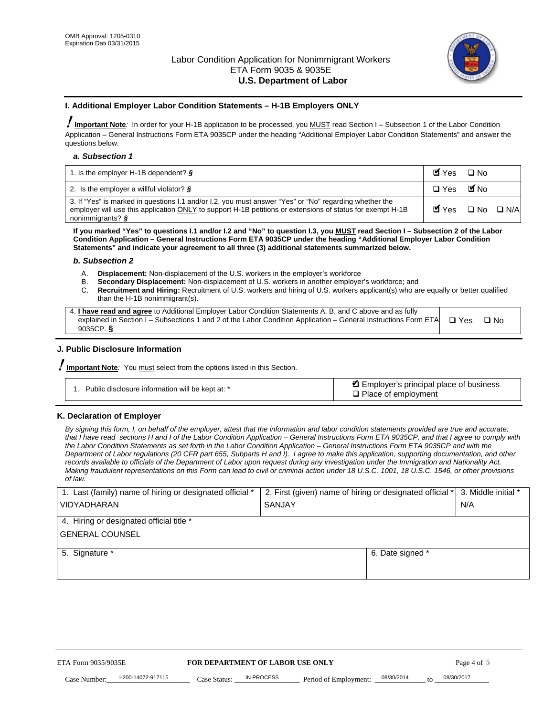

#### **I. Additional Employer Labor Condition Statements – H-1B Employers ONLY**

!**Important Note***:* In order for your H-1B application to be processed, you MUST read Section I – Subsection 1 of the Labor Condition Application – General Instructions Form ETA 9035CP under the heading "Additional Employer Labor Condition Statements" and answer the questions below.

#### *a. Subsection 1*

| 1. Is the employer H-1B dependent? $\S$                                                                                                                                                                                                 | Myes                                          | $\Box$ No              |  |
|-----------------------------------------------------------------------------------------------------------------------------------------------------------------------------------------------------------------------------------------|-----------------------------------------------|------------------------|--|
| 2. Is the employer a willful violator? $\frac{1}{2}$                                                                                                                                                                                    | $\Box$ Yes                                    | <b>M</b> <sub>No</sub> |  |
| 3. If "Yes" is marked in questions 1.1 and/or 1.2, you must answer "Yes" or "No" regarding whether the<br>employer will use this application ONLY to support H-1B petitions or extensions of status for exempt H-1B<br>nonimmigrants? § | $\blacksquare$ Yes $\square$ No $\square$ N/A |                        |  |

**If you marked "Yes" to questions I.1 and/or I.2 and "No" to question I.3, you MUST read Section I – Subsection 2 of the Labor Condition Application – General Instructions Form ETA 9035CP under the heading "Additional Employer Labor Condition Statements" and indicate your agreement to all three (3) additional statements summarized below.** 

#### *b. Subsection 2*

- A. **Displacement:** Non-displacement of the U.S. workers in the employer's workforce
- B. **Secondary Displacement:** Non-displacement of U.S. workers in another employer's workforce; and
- C. **Recruitment and Hiring:** Recruitment of U.S. workers and hiring of U.S. workers applicant(s) who are equally or better qualified than the H-1B nonimmigrant(s).

| 4. I have read and agree to Additional Employer Labor Condition Statements A, B, and C above and as fully                  |      |
|----------------------------------------------------------------------------------------------------------------------------|------|
| explained in Section I – Subsections 1 and 2 of the Labor Condition Application – General Instructions Form ETA $\Box$ Yes | ∩ Nח |
| 9035CP. $\delta$                                                                                                           |      |

## **J. Public Disclosure Information**

!**Important Note***:* You must select from the options listed in this Section.

| Public disclosure information will be kept at: * | Employer's principal place of business<br>$\Box$ Place of employment |
|--------------------------------------------------|----------------------------------------------------------------------|
|--------------------------------------------------|----------------------------------------------------------------------|

#### **K. Declaration of Employer**

*By signing this form, I, on behalf of the employer, attest that the information and labor condition statements provided are true and accurate;*  that I have read sections H and I of the Labor Condition Application – General Instructions Form ETA 9035CP, and that I agree to comply with *the Labor Condition Statements as set forth in the Labor Condition Application – General Instructions Form ETA 9035CP and with the Department of Labor regulations (20 CFR part 655, Subparts H and I). I agree to make this application, supporting documentation, and other records available to officials of the Department of Labor upon request during any investigation under the Immigration and Nationality Act. Making fraudulent representations on this Form can lead to civil or criminal action under 18 U.S.C. 1001, 18 U.S.C. 1546, or other provisions of law.* 

| 1. Last (family) name of hiring or designated official * | 2. First (given) name of hiring or designated official * |                                   | 3. Middle initial * |
|----------------------------------------------------------|----------------------------------------------------------|-----------------------------------|---------------------|
| <b>VIDYADHARAN</b>                                       | <b>SANJAY</b>                                            |                                   | N/A                 |
| 4. Hiring or designated official title *                 |                                                          |                                   |                     |
| <b>GENERAL COUNSEL</b>                                   |                                                          |                                   |                     |
| 5. Signature *                                           |                                                          | 6. Date signed *                  |                     |
|                                                          |                                                          |                                   |                     |
|                                                          |                                                          |                                   |                     |
|                                                          |                                                          |                                   |                     |
|                                                          |                                                          |                                   |                     |
| FOR DEPARTMENT OF LABOR USE ONLY<br>ETA Form 9035/9035E  |                                                          |                                   | Page 4 of 5         |
| I-200-14072-917115<br>Case Number<br>Case Status:        | IN PROCESS<br>Period of Employment:                      | 08/30/2014<br>$\mathsf{t} \alpha$ | 08/30/2017          |